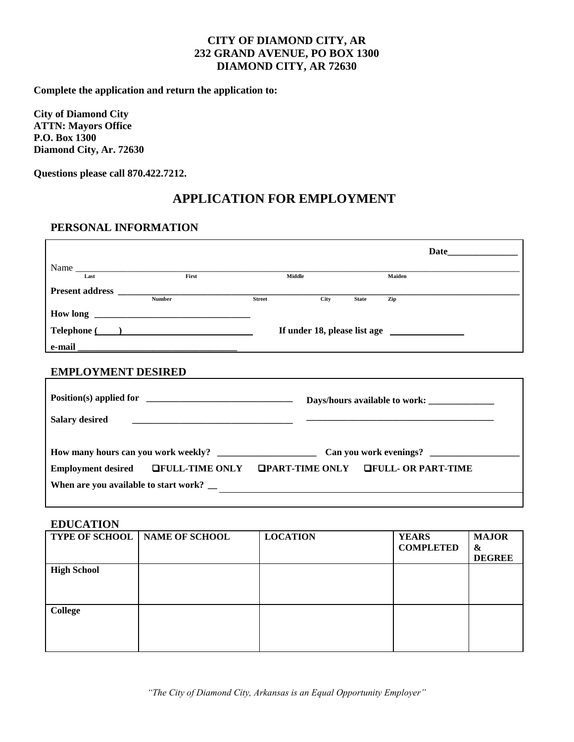**Complete the application and return the application to:** 

**City of Diamond City ATTN: Mayors Office P.O. Box 1300 Diamond City, Ar. 72630**

**Questions please call 870.422.7212.**

# **APPLICATION FOR EMPLOYMENT**

# **PERSONAL INFORMATION**

|                                          |                                                                        |                                                          |              | Date   |
|------------------------------------------|------------------------------------------------------------------------|----------------------------------------------------------|--------------|--------|
| Name                                     |                                                                        |                                                          |              |        |
|                                          |                                                                        | Middle                                                   |              | Maiden |
|                                          | Present address Number Number Street                                   | City                                                     | <b>State</b> | Zip    |
|                                          |                                                                        |                                                          |              |        |
|                                          |                                                                        |                                                          |              |        |
|                                          | Telephone ( )                                                          |                                                          |              |        |
|                                          |                                                                        |                                                          |              |        |
|                                          |                                                                        |                                                          |              |        |
| <b>EMPLOYMENT DESIRED</b>                |                                                                        |                                                          |              |        |
|                                          |                                                                        |                                                          |              |        |
|                                          | Days/hours available to work: _______________                          |                                                          |              |        |
| <b>Salary desired</b>                    |                                                                        |                                                          |              |        |
|                                          |                                                                        |                                                          |              |        |
|                                          |                                                                        |                                                          |              |        |
|                                          |                                                                        |                                                          |              |        |
|                                          | Employment desired GFULL-TIME ONLY GPART-TIME ONLY GFULL- OR PART-TIME |                                                          |              |        |
| When are you available to start work? __ |                                                                        | <u> 1989 - John Stoff, amerikansk politiker († 1908)</u> |              |        |
|                                          |                                                                        |                                                          |              |        |

### **EDUCATION**

|                    | <b>TYPE OF SCHOOL   NAME OF SCHOOL</b> | <b>LOCATION</b> | <b>YEARS</b><br><b>COMPLETED</b> | <b>MAJOR</b><br>&<br><b>DEGREE</b> |
|--------------------|----------------------------------------|-----------------|----------------------------------|------------------------------------|
| <b>High School</b> |                                        |                 |                                  |                                    |
| <b>College</b>     |                                        |                 |                                  |                                    |

*"The City of Diamond City, Arkansas is an Equal Opportunity Employer"*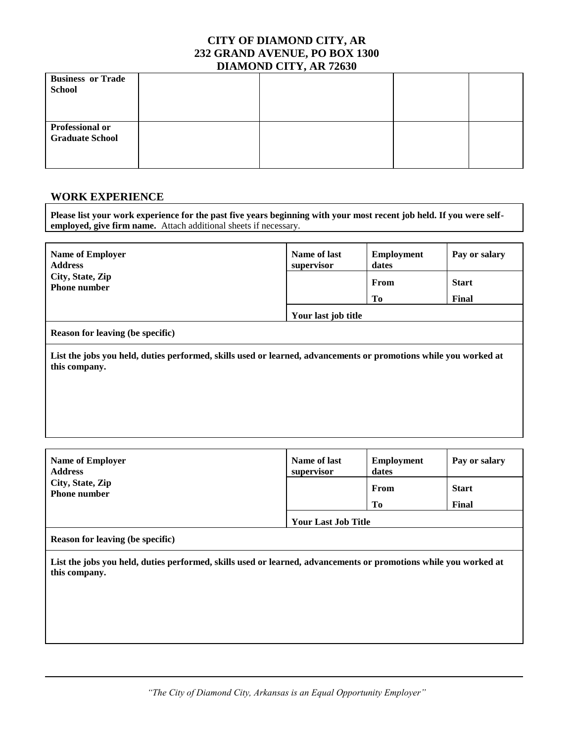| <b>Business or Trade</b> |  |  |
|--------------------------|--|--|
| <b>School</b>            |  |  |
|                          |  |  |
|                          |  |  |
| <b>Professional or</b>   |  |  |
| <b>Graduate School</b>   |  |  |
|                          |  |  |
|                          |  |  |

### **WORK EXPERIENCE**

**Please list your work experience for the past five years beginning with your most recent job held. If you were selfemployed, give firm name.** Attach additional sheets if necessary.

| <b>Name of Employer</b> | Name of last        | <b>Employment</b> | Pay or salary |
|-------------------------|---------------------|-------------------|---------------|
| <b>Address</b>          | supervisor          | dates             |               |
| City, State, Zip        |                     | From              | <b>Start</b>  |
| <b>Phone number</b>     |                     | Tо                | Final         |
|                         | Your last job title |                   |               |

#### **Reason for leaving (be specific)**

**List the jobs you held, duties performed, skills used or learned, advancements or promotions while you worked at this company.**

| <b>Name of Employer</b> | Name of last               | <b>Employment</b> | Pay or salary |
|-------------------------|----------------------------|-------------------|---------------|
| <b>Address</b>          | supervisor                 | dates             |               |
| City, State, Zip        |                            | From              | <b>Start</b>  |
| <b>Phone number</b>     |                            | Tо                | Final         |
|                         | <b>Your Last Job Title</b> |                   |               |

#### **Reason for leaving (be specific)**

**List the jobs you held, duties performed, skills used or learned, advancements or promotions while you worked at this company.**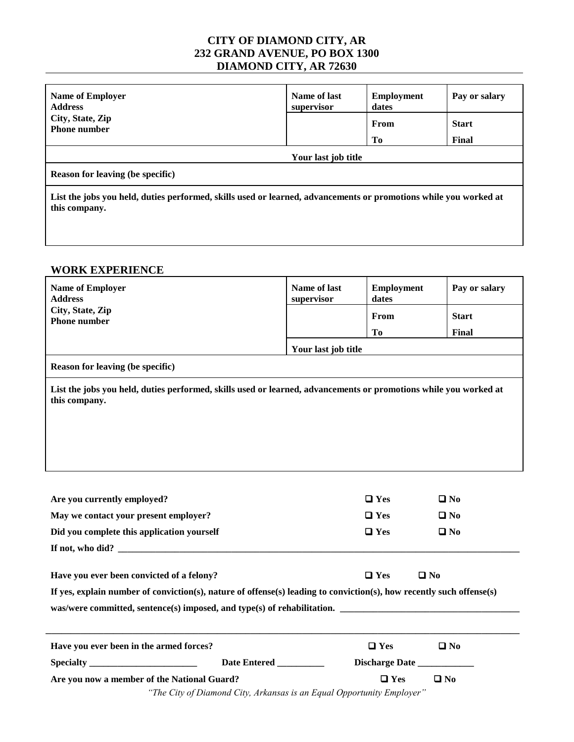| <b>Name of Employer</b><br><b>Address</b>                                                                                         | Name of last<br>supervisor | <b>Employment</b><br>dates | Pay or salary |
|-----------------------------------------------------------------------------------------------------------------------------------|----------------------------|----------------------------|---------------|
| City, State, Zip<br><b>Phone number</b>                                                                                           |                            | From                       | <b>Start</b>  |
|                                                                                                                                   |                            | Tо                         | Final         |
|                                                                                                                                   | Your last job title        |                            |               |
| <b>Reason for leaving (be specific)</b>                                                                                           |                            |                            |               |
| List the jobs you held, duties performed, skills used or learned, advancements or promotions while you worked at<br>this company. |                            |                            |               |

# **WORK EXPERIENCE**

| <b>Name of Employer</b><br><b>Address</b>                                                                                                                                                                                    | Name of last<br>supervisor | <b>Employment</b><br>dates | Pay or salary                |
|------------------------------------------------------------------------------------------------------------------------------------------------------------------------------------------------------------------------------|----------------------------|----------------------------|------------------------------|
| City, State, Zip<br><b>Phone number</b>                                                                                                                                                                                      |                            | From                       | <b>Start</b>                 |
|                                                                                                                                                                                                                              |                            | <b>To</b>                  | Final                        |
|                                                                                                                                                                                                                              | Your last job title        |                            |                              |
| Reason for leaving (be specific)                                                                                                                                                                                             |                            |                            |                              |
| List the jobs you held, duties performed, skills used or learned, advancements or promotions while you worked at<br>this company.                                                                                            |                            |                            |                              |
| Are you currently employed?<br>May we contact your present employer?                                                                                                                                                         |                            | $\Box$ Yes<br>$\Box$ Yes   | $\square$ No<br>$\square$ No |
| Did you complete this application yourself                                                                                                                                                                                   |                            | $\Box$ Yes                 | $\square$ No                 |
| If not, who did?                                                                                                                                                                                                             |                            |                            |                              |
| Have you ever been convicted of a felony?                                                                                                                                                                                    |                            | $\square$ No<br>$\Box$ Yes |                              |
| If yes, explain number of conviction(s), nature of offense(s) leading to conviction(s), how recently such offense(s)<br>was/were committed, sentence(s) imposed, and type(s) of rehabilitation. ____________________________ |                            |                            |                              |
| Have you ever been in the armed forces?                                                                                                                                                                                      |                            | $\Box$ Yes                 | $\square$ No                 |
| Date Entered _________                                                                                                                                                                                                       |                            |                            |                              |
| Are you now a member of the National Guard?                                                                                                                                                                                  |                            | $\square$ No<br>$\Box$ Yes |                              |
| "The City of Diamond City, Arkansas is an Equal Opportunity Employer"                                                                                                                                                        |                            |                            |                              |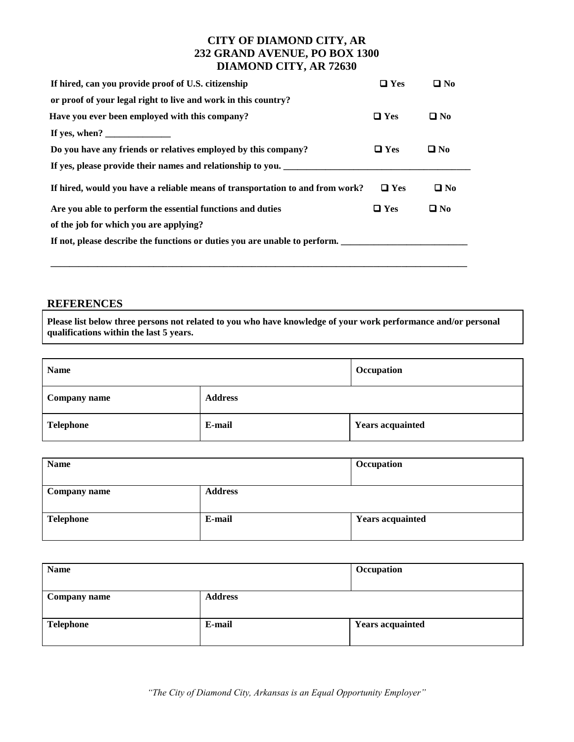| If hired, can you provide proof of U.S. citizenship                                                                                                                                                                                                                                                                                                                                                                | $\Box$ Yes | $\square$ No |
|--------------------------------------------------------------------------------------------------------------------------------------------------------------------------------------------------------------------------------------------------------------------------------------------------------------------------------------------------------------------------------------------------------------------|------------|--------------|
| or proof of your legal right to live and work in this country?                                                                                                                                                                                                                                                                                                                                                     |            |              |
| Have you ever been employed with this company?                                                                                                                                                                                                                                                                                                                                                                     | $\Box$ Yes | $\Box$ No    |
| If yes, when? $\frac{1}{\sqrt{1-\frac{1}{2}}}\frac{1}{\sqrt{1-\frac{1}{2}}}\frac{1}{\sqrt{1-\frac{1}{2}}}\frac{1}{\sqrt{1-\frac{1}{2}}}\frac{1}{\sqrt{1-\frac{1}{2}}}\frac{1}{\sqrt{1-\frac{1}{2}}}\frac{1}{\sqrt{1-\frac{1}{2}}}\frac{1}{\sqrt{1-\frac{1}{2}}}\frac{1}{\sqrt{1-\frac{1}{2}}}\frac{1}{\sqrt{1-\frac{1}{2}}}\frac{1}{\sqrt{1-\frac{1}{2}}}\frac{1}{\sqrt{1-\frac{1}{2}}}\frac{1}{\sqrt{1-\frac{1}{$ |            |              |
| Do you have any friends or relatives employed by this company?                                                                                                                                                                                                                                                                                                                                                     | $\Box$ Yes | $\Box$ No    |
| If yes, please provide their names and relationship to you.                                                                                                                                                                                                                                                                                                                                                        |            |              |
| If hired, would you have a reliable means of transportation to and from work?                                                                                                                                                                                                                                                                                                                                      | $\Box$ Yes | $\square$ No |
| Are you able to perform the essential functions and duties                                                                                                                                                                                                                                                                                                                                                         | $\Box$ Yes | $\Box$ No    |
| of the job for which you are applying?                                                                                                                                                                                                                                                                                                                                                                             |            |              |
| If not, please describe the functions or duties you are unable to perform.                                                                                                                                                                                                                                                                                                                                         |            |              |
|                                                                                                                                                                                                                                                                                                                                                                                                                    |            |              |

**\_\_\_\_\_\_\_\_\_\_\_\_\_\_\_\_\_\_\_\_\_\_\_\_\_\_\_\_\_\_\_\_\_\_\_\_\_\_\_\_\_\_\_\_\_\_\_\_\_\_\_\_\_\_\_\_\_\_\_\_\_\_\_\_\_\_\_\_\_\_\_\_\_\_\_\_\_\_\_\_\_\_\_\_\_\_\_\_\_**

# **REFERENCES**

**Please list below three persons not related to you who have knowledge of your work performance and/or personal qualifications within the last 5 years.**

| <b>Name</b>         |                | Occupation              |
|---------------------|----------------|-------------------------|
| <b>Company name</b> | <b>Address</b> |                         |
| <b>Telephone</b>    | E-mail         | <b>Years acquainted</b> |

| <b>Name</b>         |                | Occupation              |
|---------------------|----------------|-------------------------|
| <b>Company name</b> | <b>Address</b> |                         |
| <b>Telephone</b>    | E-mail         | <b>Years acquainted</b> |

| <b>Name</b>         |                | Occupation              |
|---------------------|----------------|-------------------------|
| <b>Company name</b> | <b>Address</b> |                         |
| <b>Telephone</b>    | E-mail         | <b>Years acquainted</b> |